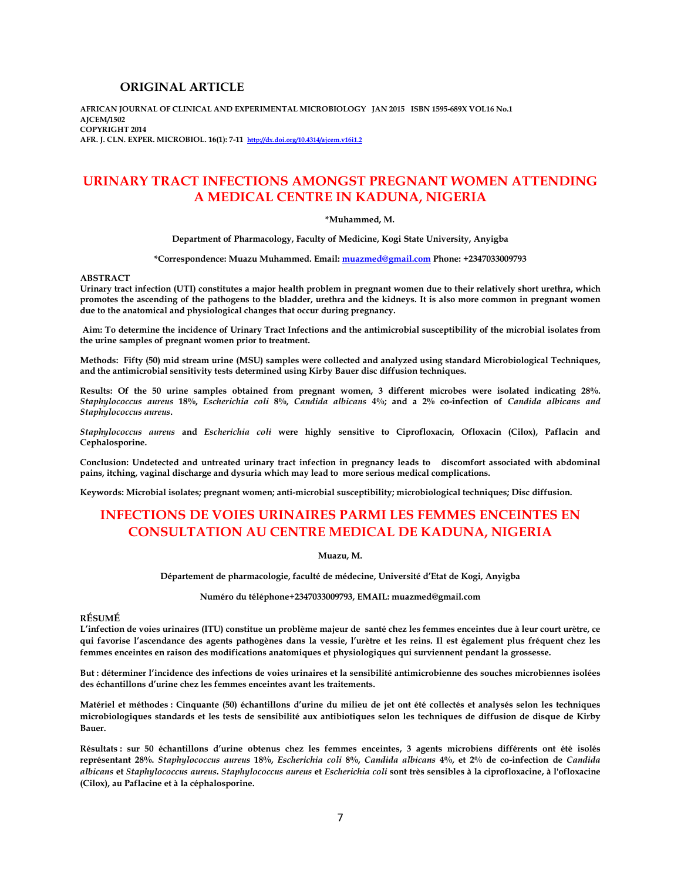# **ORIGINAL ARTICLE**

**AFRICAN JOURNAL OF CLINICAL AND EXPERIMENTAL MICROBIOLOGY JAN 2015 ISBN 1595-689X VOL16 No.1 AJCEM/1502 COPYRIGHT 2014 AFR. J. CLN. EXPER. MICROBIOL. 16(1): 7-11 http://dx.doi.org/10.4314/ajcem.v16i1.2** 

# **URINARY TRACT INFECTIONS AMONGST PREGNANT WOMEN ATTENDING A MEDICAL CENTRE IN KADUNA, NIGERIA**

#### **\*Muhammed, M.**

**Department of Pharmacology, Faculty of Medicine, Kogi State University, Anyigba** 

**\*Correspondence: Muazu Muhammed. Email: muazmed@gmail.com Phone: +2347033009793** 

#### **ABSTRACT**

**Urinary tract infection (UTI) constitutes a major health problem in pregnant women due to their relatively short urethra, which promotes the ascending of the pathogens to the bladder, urethra and the kidneys. It is also more common in pregnant women due to the anatomical and physiological changes that occur during pregnancy.** 

 **Aim: To determine the incidence of Urinary Tract Infections and the antimicrobial susceptibility of the microbial isolates from the urine samples of pregnant women prior to treatment.** 

**Methods: Fifty (50) mid stream urine (MSU) samples were collected and analyzed using standard Microbiological Techniques, and the antimicrobial sensitivity tests determined using Kirby Bauer disc diffusion techniques.** 

**Results: Of the 50 urine samples obtained from pregnant women, 3 different microbes were isolated indicating 28%.**  *Staphylococcus aureus* **18%,** *Escherichia coli* **8%,** *Candida albicans* **4%; and a 2% co-infection of** *Candida albicans and Staphylococcus aureus***.** 

*Staphylococcus aureus* **and** *Escherichia coli* **were highly sensitive to Ciprofloxacin, Ofloxacin (Cilox), Paflacin and Cephalosporine.** 

**Conclusion: Undetected and untreated urinary tract infection in pregnancy leads to discomfort associated with abdominal pains, itching, vaginal discharge and dysuria which may lead to more serious medical complications.** 

**Keywords: Microbial isolates; pregnant women; anti-microbial susceptibility; microbiological techniques; Disc diffusion.** 

# **INFECTIONS DE VOIES URINAIRES PARMI LES FEMMES ENCEINTES EN CONSULTATION AU CENTRE MEDICAL DE KADUNA, NIGERIA**

**Muazu, M.** 

**Département de pharmacologie, faculté de médecine, Université d'Etat de Kogi, Anyigba** 

**Numéro du téléphone+2347033009793, EMAIL: muazmed@gmail.com** 

# **RÉSUMÉ**

**L'infection de voies urinaires (ITU) constitue un problème majeur de santé chez les femmes enceintes due à leur court urètre, ce qui favorise l'ascendance des agents pathogènes dans la vessie, l'urètre et les reins. Il est également plus fréquent chez les femmes enceintes en raison des modifications anatomiques et physiologiques qui surviennent pendant la grossesse.** 

**But : déterminer l'incidence des infections de voies urinaires et la sensibilité antimicrobienne des souches microbiennes isolées des échantillons d'urine chez les femmes enceintes avant les traitements.** 

**Matériel et méthodes : Cinquante (50) échantillons d'urine du milieu de jet ont été collectés et analysés selon les techniques microbiologiques standards et les tests de sensibilité aux antibiotiques selon les techniques de diffusion de disque de Kirby Bauer.** 

**Résultats : sur 50 échantillons d'urine obtenus chez les femmes enceintes, 3 agents microbiens différents ont été isolés représentant 28%.** *Staphylococcus aureus* **18%,** *Escherichia coli* **8%,** *Candida albicans* **4%, et 2% de co-infection de** *Candida albicans* **et** *Staphylococcus aureus***.** *Staphylococcus aureus* **et** *Escherichia coli* **sont très sensibles à la ciprofloxacine, à l'ofloxacine (Cilox), au Paflacine et à la céphalosporine.**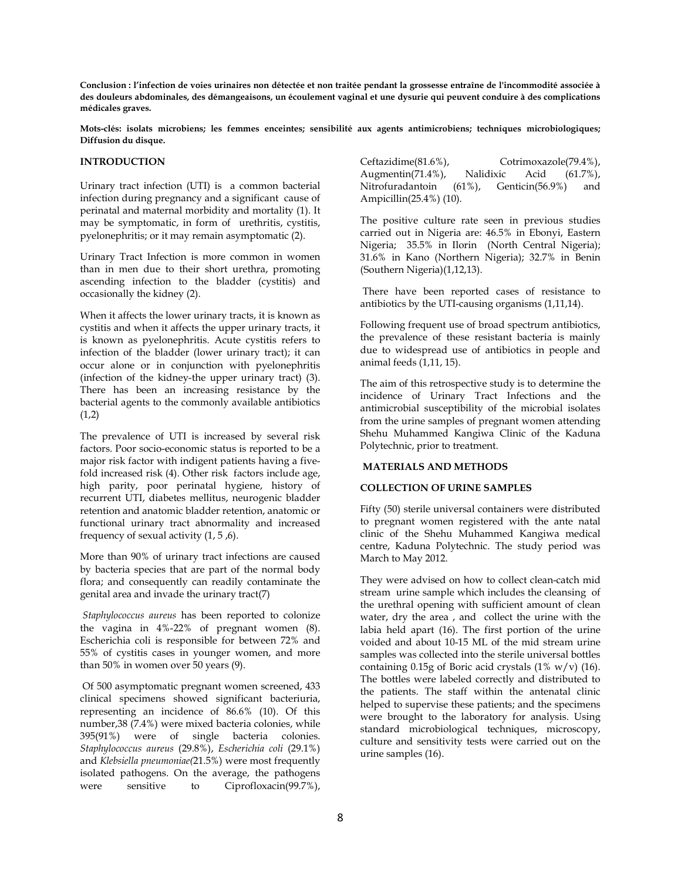**Conclusion : l'infection de voies urinaires non détectée et non traitée pendant la grossesse entraîne de l'incommodité associée à des douleurs abdominales, des démangeaisons, un écoulement vaginal et une dysurie qui peuvent conduire à des complications médicales graves.** 

**Mots-clés: isolats microbiens; les femmes enceintes; sensibilité aux agents antimicrobiens; techniques microbiologiques; Diffusion du disque.** 

### **INTRODUCTION**

Urinary tract infection (UTI) is a common bacterial infection during pregnancy and a significant cause of perinatal and maternal morbidity and mortality (1). It may be symptomatic, in form of urethritis, cystitis, pyelonephritis; or it may remain asymptomatic (2).

Urinary Tract Infection is more common in women than in men due to their short urethra, promoting ascending infection to the bladder (cystitis) and occasionally the kidney (2).

When it affects the lower urinary tracts, it is known as cystitis and when it affects the upper urinary tracts, it is known as pyelonephritis. Acute cystitis refers to infection of the bladder (lower urinary tract); it can occur alone or in conjunction with pyelonephritis (infection of the kidney-the upper urinary tract) (3). There has been an increasing resistance by the bacterial agents to the commonly available antibiotics  $(1,2)$ 

The prevalence of UTI is increased by several risk factors. Poor socio-economic status is reported to be a major risk factor with indigent patients having a fivefold increased risk (4). Other risk factors include age, high parity, poor perinatal hygiene, history of recurrent UTI, diabetes mellitus, neurogenic bladder retention and anatomic bladder retention, anatomic or functional urinary tract abnormality and increased frequency of sexual activity (1, 5 ,6).

More than 90% of urinary tract infections are caused by bacteria species that are part of the normal body flora; and consequently can readily contaminate the genital area and invade the urinary tract(7)

 *Staphylococcus aureus* has been reported to colonize the vagina in 4%-22% of pregnant women (8). Escherichia coli is responsible for between 72% and 55% of cystitis cases in younger women, and more than 50% in women over 50 years (9).

 Of 500 asymptomatic pregnant women screened, 433 clinical specimens showed significant bacteriuria, representing an incidence of 86.6% (10). Of this number,38 (7.4%) were mixed bacteria colonies, while 395(91%) were of single bacteria colonies. *Staphylococcus aureus* (29.8%), *Escherichia coli* (29.1%) and *Klebsiella pneumoniae(*21.5%) were most frequently isolated pathogens. On the average, the pathogens were sensitive to Ciprofloxacin(99.7%),

Ceftazidime(81.6%), Cotrimoxazole(79.4%), Augmentin(71.4%), Nalidixic Acid (61.7%), Nitrofuradantoin (61%), Genticin(56.9%) and Ampicillin(25.4%) (10).

The positive culture rate seen in previous studies carried out in Nigeria are: 46.5% in Ebonyi, Eastern Nigeria; 35.5% in Ilorin (North Central Nigeria); 31.6% in Kano (Northern Nigeria); 32.7% in Benin (Southern Nigeria)(1,12,13).

 There have been reported cases of resistance to antibiotics by the UTI-causing organisms (1,11,14).

Following frequent use of broad spectrum antibiotics, the prevalence of these resistant bacteria is mainly due to widespread use of antibiotics in people and animal feeds  $(1,11, 15)$ .

The aim of this retrospective study is to determine the incidence of Urinary Tract Infections and the antimicrobial susceptibility of the microbial isolates from the urine samples of pregnant women attending Shehu Muhammed Kangiwa Clinic of the Kaduna Polytechnic, prior to treatment.

# **MATERIALS AND METHODS**

# **COLLECTION OF URINE SAMPLES**

Fifty (50) sterile universal containers were distributed to pregnant women registered with the ante natal clinic of the Shehu Muhammed Kangiwa medical centre, Kaduna Polytechnic. The study period was March to May 2012.

They were advised on how to collect clean-catch mid stream urine sample which includes the cleansing of the urethral opening with sufficient amount of clean water, dry the area , and collect the urine with the labia held apart (16). The first portion of the urine voided and about 10-15 ML of the mid stream urine samples was collected into the sterile universal bottles containing  $0.15g$  of Boric acid crystals  $(1\% \text{ w/v})$   $(16)$ . The bottles were labeled correctly and distributed to the patients. The staff within the antenatal clinic helped to supervise these patients; and the specimens were brought to the laboratory for analysis. Using standard microbiological techniques, microscopy, culture and sensitivity tests were carried out on the urine samples (16).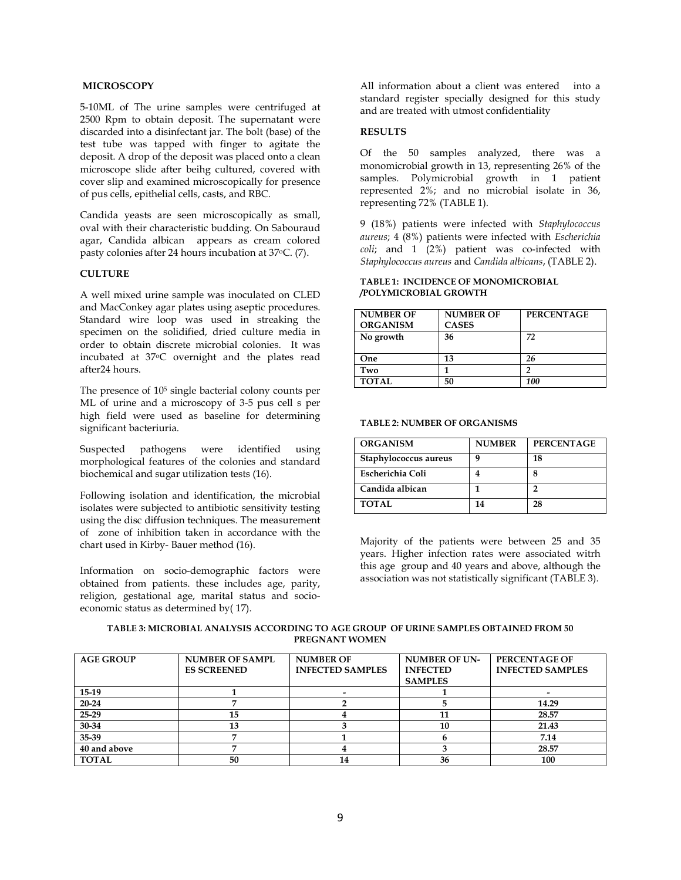# **MICROSCOPY**

5-10ML of The urine samples were centrifuged at 2500 Rpm to obtain deposit. The supernatant were discarded into a disinfectant jar. The bolt (base) of the test tube was tapped with finger to agitate the deposit. A drop of the deposit was placed onto a clean microscope slide after beihg cultured, covered with cover slip and examined microscopically for presence of pus cells, epithelial cells, casts, and RBC.

Candida yeasts are seen microscopically as small, oval with their characteristic budding. On Sabouraud agar, Candida albican appears as cream colored pasty colonies after 24 hours incubation at 37oC. (7).

# **CULTURE**

A well mixed urine sample was inoculated on CLED and MacConkey agar plates using aseptic procedures. Standard wire loop was used in streaking the specimen on the solidified, dried culture media in order to obtain discrete microbial colonies. It was incubated at 37oC overnight and the plates read after24 hours.

The presence of 105 single bacterial colony counts per ML of urine and a microscopy of 3-5 pus cell s per high field were used as baseline for determining significant bacteriuria.

Suspected pathogens were identified using morphological features of the colonies and standard biochemical and sugar utilization tests (16).

Following isolation and identification, the microbial isolates were subjected to antibiotic sensitivity testing using the disc diffusion techniques. The measurement of zone of inhibition taken in accordance with the chart used in Kirby- Bauer method (16).

Information on socio-demographic factors were obtained from patients. these includes age, parity, religion, gestational age, marital status and socioeconomic status as determined by( 17).

All information about a client was entered into a standard register specially designed for this study and are treated with utmost confidentiality

### **RESULTS**

Of the 50 samples analyzed, there was a monomicrobial growth in 13, representing 26% of the samples. Polymicrobial growth in 1 patient represented 2%; and no microbial isolate in 36, representing 72% (TABLE 1).

9 (18%) patients were infected with *Staphylococcus aureus*; 4 (8%) patients were infected with *Escherichia coli*; and 1 (2%) patient was co-infected with *Staphylococcus aureus* and *Candida albicans*, (TABLE 2).

### **TABLE 1: INCIDENCE OF MONOMICROBIAL /POLYMICROBIAL GROWTH**

| <b>NUMBER OF</b> | <b>NUMBER OF</b> | <b>PERCENTAGE</b> |
|------------------|------------------|-------------------|
| <b>ORGANISM</b>  | <b>CASES</b>     |                   |
| No growth        | 36               | 72                |
|                  |                  |                   |
| One              | 13               | 26                |
| Two              |                  |                   |
| <b>TOTAL</b>     | 50               | 100               |

#### **TABLE 2: NUMBER OF ORGANISMS**

| <b>ORGANISM</b>       | <b>NUMBER</b> | <b>PERCENTAGE</b> |
|-----------------------|---------------|-------------------|
| Staphylococcus aureus | q             | 18                |
| Escherichia Coli      |               | 8                 |
| Candida albican       |               | י                 |
| <b>TOTAL</b>          | 14            | 28                |

Majority of the patients were between 25 and 35 years. Higher infection rates were associated witrh this age group and 40 years and above, although the association was not statistically significant (TABLE 3).

| TABLE 3: MICROBIAL ANALYSIS ACCORDING TO AGE GROUP OF URINE SAMPLES OBTAINED FROM 50 |  |
|--------------------------------------------------------------------------------------|--|
| PREGNANT WOMEN                                                                       |  |

| <b>AGE GROUP</b> | <b>NUMBER OF SAMPL</b> | <b>NUMBER OF</b>        | <b>NUMBER OF UN-</b> | <b>PERCENTAGE OF</b>    |
|------------------|------------------------|-------------------------|----------------------|-------------------------|
|                  | <b>ES SCREENED</b>     | <b>INFECTED SAMPLES</b> | <b>INFECTED</b>      | <b>INFECTED SAMPLES</b> |
|                  |                        |                         | <b>SAMPLES</b>       |                         |
| $15-19$          |                        |                         |                      |                         |
| $20 - 24$        |                        |                         |                      | 14.29                   |
| $25-29$          | 15                     |                         | 11                   | 28.57                   |
| 30-34            | 13                     |                         | 10                   | 21.43                   |
| 35-39            |                        |                         |                      | 7.14                    |
| 40 and above     | −                      |                         |                      | 28.57                   |
| <b>TOTAL</b>     | 50                     | 14                      | 36                   | 100                     |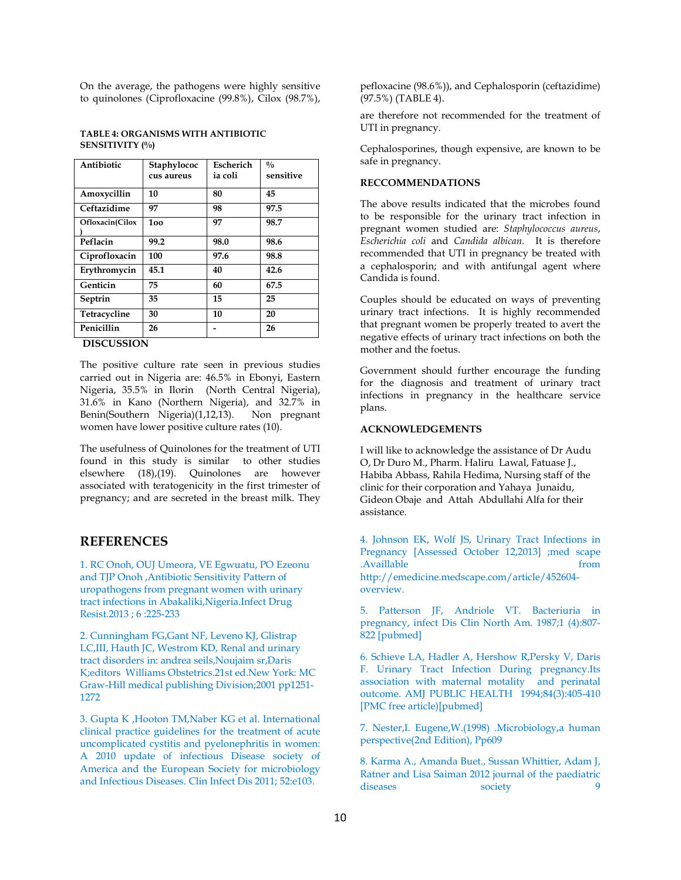On the average, the pathogens were highly sensitive to quinolones (Ciprofloxacine (99.8%), Cilox (98.7%),

### **TABLE 4: ORGANISMS WITH ANTIBIOTIC SENSITIVITY (%)**

| Antibiotic      | Staphylococ<br>cus aureus | Escherich<br>ia coli | $\frac{0}{0}$<br>sensitive |
|-----------------|---------------------------|----------------------|----------------------------|
| Amoxycillin     | 10                        | 80                   | 45                         |
| Ceftazidime     | 97                        | 98                   | 97.5                       |
| Ofloxacin(Cilox | 100                       | 97                   | 98.7                       |
| Peflacin        | 99.2                      | 98.0                 | 98.6                       |
| Ciprofloxacin   | 100                       | 97.6                 | 98.8                       |
| Erythromycin    | 45.1                      | 40                   | 42.6                       |
| Genticin        | 75                        | 60                   | 67.5                       |
| Septrin         | 35                        | 15                   | 25                         |
| Tetracycline    | 30                        | 10                   | 20                         |
| Penicillin      | 26                        |                      | 26                         |
|                 |                           |                      |                            |

 **DISCUSSION** 

The positive culture rate seen in previous studies carried out in Nigeria are: 46.5% in Ebonyi, Eastern Nigeria, 35.5% in Ilorin (North Central Nigeria), 31.6% in Kano (Northern Nigeria), and 32.7% in Benin(Southern Nigeria)(1,12,13). women have lower positive culture rates (10).

The usefulness of Quinolones for the treatment of UTI found in this study is similar to other studies elsewhere (18),(19). Quinolones are however associated with teratogenicity in the first trimester of pregnancy; and are secreted in the breast milk. They

# **REFERENCES**

1. RC Onoh, OUJ Umeora, VE Egwuatu, PO Ezeonu and TJP Onoh ,Antibiotic Sensitivity Pattern of uropathogens from pregnant women with urinary tract infections in Abakaliki,Nigeria.Infect Drug Resist.2013 ; 6 :225-233

2. Cunningham FG,Gant NF, Leveno KJ, Glistrap LC,III, Hauth JC, Westrom KD, Renal and urinary tract disorders in: andrea seils,Noujaim sr,Daris K;editors Williams Obstetrics.21st ed.New York: MC Graw-Hill medical publishing Division;2001 pp1251- 1272

3. Gupta K ,Hooton TM,Naber KG et al. International clinical practice guidelines for the treatment of acute uncomplicated cystitis and pyelonephritis in women: A 2010 update of infectious Disease society of America and the European Society for microbiology and Infectious Diseases. Clin Infect Dis 2011; 52:e103.

pefloxacine (98.6%)), and Cephalosporin (ceftazidime)  $(97.5\%)$  (TABLE 4).

are therefore not recommended for the treatment of UTI in pregnancy.

Cephalosporines, though expensive, are known to be safe in pregnancy.

# **RECCOMMENDATIONS**

The above results indicated that the microbes found to be responsible for the urinary tract infection in pregnant women studied are: *Staphylococcus aureus*, *Escherichia coli* and *Candida albican*. It is therefore recommended that UTI in pregnancy be treated with a cephalosporin; and with antifungal agent where Candida is found.

Couples should be educated on ways of preventing urinary tract infections. It is highly recommended that pregnant women be properly treated to avert the negative effects of urinary tract infections on both the mother and the foetus.

Government should further encourage the funding for the diagnosis and treatment of urinary tract infections in pregnancy in the healthcare service plans.

# **ACKNOWLEDGEMENTS**

I will like to acknowledge the assistance of Dr Audu O, Dr Duro M., Pharm. Haliru Lawal, Fatuase J., Habiba Abbass, Rahila Hedima, Nursing staff of the clinic for their corporation and Yahaya Junaidu, Gideon Obaje and Attah Abdullahi Alfa for their assistance.

4. Johnson EK, Wolf JS, Urinary Tract Infections in Pregnancy [Assessed October 12,2013] ;med scape .Availlable from the from the from the from the from the from the from the from the from the from the from the  $f$ http://emedicine.medscape.com/article/452604 overview.

5. Patterson JF, Andriole VT. Bacteriuria in pregnancy, infect Dis Clin North Am. 1987;1 (4):807-  $822$  [pubmed]

6. Schieve LA, Hadler A, Hershow R,Persky V, Daris F. Urinary Tract Infection During pregnancy.Its association with maternal motality and perinatal outcome. AMJ PUBLIC HEALTH 1994;84(3):405-410 [PMC free article)[pubmed]

7. Nester,I. Eugene,W.(1998) .Microbiology,a human perspective(2nd Edition), Pp609

8. Karma A., Amanda Buet., Sussan Whittier, Adam J, Ratner and Lisa Saiman 2012 journal of the paediatric diseases society 9